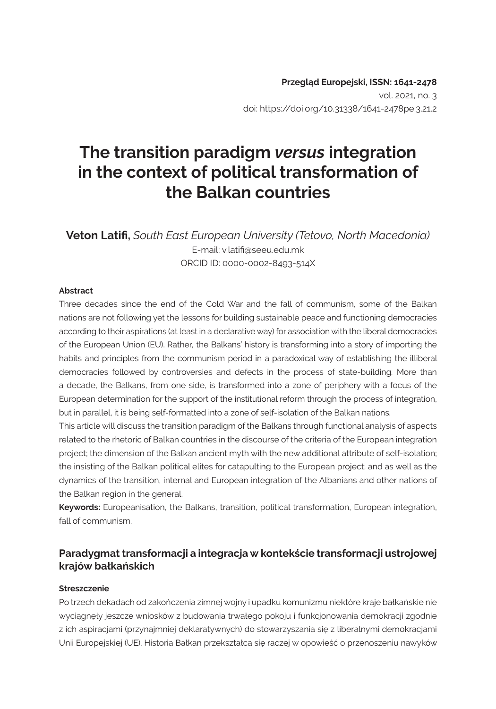# **The transition paradigm** *versus* **integration in the context of political transformation of the Balkan countries**

**Veton Latifi,** *South East European University (Tetovo, North Macedonia)* E-mail: v.latifi@seeu.edu.mk ORCID ID: 0000-0002-8493-514X

#### **Abstract**

Three decades since the end of the Cold War and the fall of communism, some of the Balkan nations are not following yet the lessons for building sustainable peace and functioning democracies according to their aspirations (at least in a declarative way) for association with the liberal democracies of the European Union (EU). Rather, the Balkans' history is transforming into a story of importing the habits and principles from the communism period in a paradoxical way of establishing the illiberal democracies followed by controversies and defects in the process of state-building. More than a decade, the Balkans, from one side, is transformed into a zone of periphery with a focus of the European determination for the support of the institutional reform through the process of integration, but in parallel, it is being self-formatted into a zone of self-isolation of the Balkan nations.

This article will discuss the transition paradigm of the Balkans through functional analysis of aspects related to the rhetoric of Balkan countries in the discourse of the criteria of the European integration project; the dimension of the Balkan ancient myth with the new additional attribute of self-isolation; the insisting of the Balkan political elites for catapulting to the European project; and as well as the dynamics of the transition, internal and European integration of the Albanians and other nations of the Balkan region in the general.

**Keywords:** Europeanisation, the Balkans, transition, political transformation, European integration, fall of communism.

#### **Paradygmat transformacji a integracja w kontekście transformacji ustrojowej krajów bałkańskich**

#### **Streszczenie**

Po trzech dekadach od zakończenia zimnej wojny i upadku komunizmu niektóre kraje bałkańskie nie wyciągnęły jeszcze wniosków z budowania trwałego pokoju i funkcjonowania demokracji zgodnie z ich aspiracjami (przynajmniej deklaratywnych) do stowarzyszania się z liberalnymi demokracjami Unii Europejskiej (UE). Historia Bałkan przekształca się raczej w opowieść o przenoszeniu nawyków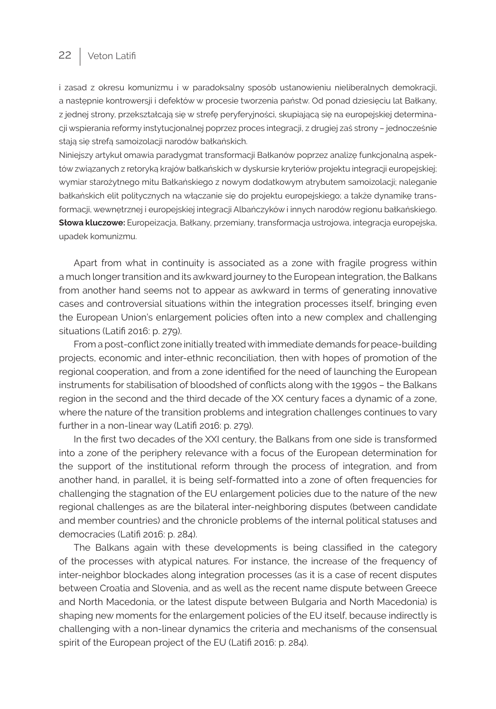### 22 | Veton Latifi

i zasad z okresu komunizmu i w paradoksalny sposób ustanowieniu nieliberalnych demokracji, a następnie kontrowersji i defektów w procesie tworzenia państw. Od ponad dziesięciu lat Bałkany, z jednej strony, przekształcają się w strefę peryferyjności, skupiającą się na europejskiej determinacji wspierania reformy instytucjonalnej poprzez proces integracji, z drugiej zaś strony – jednocześnie stają się strefą samoizolacji narodów bałkańskich.

Niniejszy artykuł omawia paradygmat transformacji Bałkanów poprzez analizę funkcjonalną aspektów związanych z retoryką krajów bałkańskich w dyskursie kryteriów projektu integracji europejskiej; wymiar starożytnego mitu Bałkańskiego z nowym dodatkowym atrybutem samoizolacji; naleganie bałkańskich elit politycznych na włączanie się do projektu europejskiego; a także dynamikę transformacji, wewnętrznej i europejskiej integracji Albańczyków i innych narodów regionu bałkańskiego. **Słowa kluczowe:** Europeizacja, Bałkany, przemiany, transformacja ustrojowa, integracja europejska, upadek komunizmu.

Apart from what in continuity is associated as a zone with fragile progress within a much longer transition and its awkward journey to the European integration, the Balkans from another hand seems not to appear as awkward in terms of generating innovative cases and controversial situations within the integration processes itself, bringing even the European Union's enlargement policies often into a new complex and challenging situations (Latifi 2016: p. 279).

From a post-conflict zone initially treated with immediate demands for peace-building projects, economic and inter-ethnic reconciliation, then with hopes of promotion of the regional cooperation, and from a zone identified for the need of launching the European instruments for stabilisation of bloodshed of conflicts along with the 1990s – the Balkans region in the second and the third decade of the XX century faces a dynamic of a zone, where the nature of the transition problems and integration challenges continues to vary further in a non-linear way (Latifi 2016: p. 279).

In the first two decades of the XXI century, the Balkans from one side is transformed into a zone of the periphery relevance with a focus of the European determination for the support of the institutional reform through the process of integration, and from another hand, in parallel, it is being self-formatted into a zone of often frequencies for challenging the stagnation of the EU enlargement policies due to the nature of the new regional challenges as are the bilateral inter-neighboring disputes (between candidate and member countries) and the chronicle problems of the internal political statuses and democracies (Latifi 2016: p. 284).

The Balkans again with these developments is being classified in the category of the processes with atypical natures. For instance, the increase of the frequency of inter-neighbor blockades along integration processes (as it is a case of recent disputes between Croatia and Slovenia, and as well as the recent name dispute between Greece and North Macedonia, or the latest dispute between Bulgaria and North Macedonia) is shaping new moments for the enlargement policies of the EU itself, because indirectly is challenging with a non-linear dynamics the criteria and mechanisms of the consensual spirit of the European project of the EU (Latifi 2016: p. 284).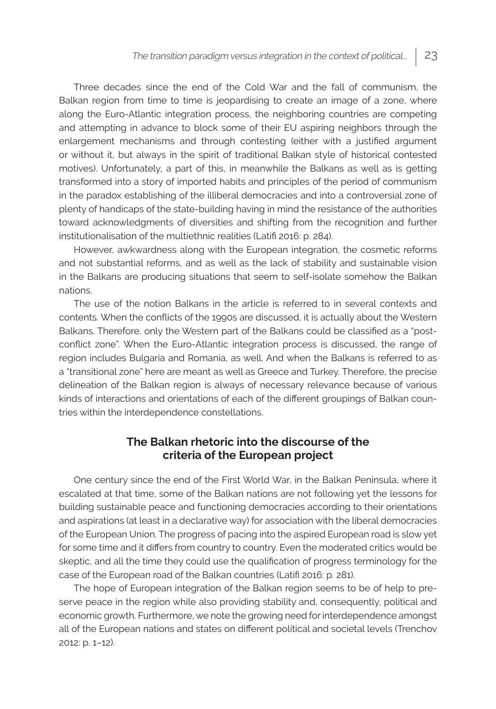Three decades since the end of the Cold War and the fall of communism, the Balkan region from time to time is jeopardising to create an image of a zone, where along the Euro-Atlantic integration process, the neighboring countries are competing and attempting in advance to block some of their EU aspiring neighbors through the enlargement mechanisms and through contesting (either with a justified argument or without it, but always in the spirit of traditional Balkan style of historical contested motives). Unfortunately, a part of this, in meanwhile the Balkans as well as is getting transformed into a story of imported habits and principles of the period of communism in the paradox establishing of the illiberal democracies and into a controversial zone of plenty of handicaps of the state-building having in mind the resistance of the authorities toward acknowledgments of diversities and shifting from the recognition and further institutionalisation of the multiethnic realities (Latifi 2016: p. 284).

However, awkwardness along with the European integration, the cosmetic reforms and not substantial reforms, and as well as the lack of stability and sustainable vision in the Balkans are producing situations that seem to self-isolate somehow the Balkan nations.

The use of the notion Balkans in the article is referred to in several contexts and contents. When the conflicts of the 1990s are discussed, it is actually about the Western Balkans. Therefore, only the Western part of the Balkans could be classified as a "postconflict zone". When the Euro-Atlantic integration process is discussed, the range of region includes Bulgaria and Romania, as well. And when the Balkans is referred to as a "transitional zone" here are meant as well as Greece and Turkey. Therefore, the precise delineation of the Balkan region is always of necessary relevance because of various kinds of interactions and orientations of each of the different groupings of Balkan countries within the interdependence constellations.

#### **The Balkan rhetoric into the discourse of the criteria of the European project**

One century since the end of the First World War, in the Balkan Peninsula, where it escalated at that time, some of the Balkan nations are not following yet the lessons for building sustainable peace and functioning democracies according to their orientations and aspirations (at least in a declarative way) for association with the liberal democracies of the European Union. The progress of pacing into the aspired European road is slow yet for some time and it differs from country to country. Even the moderated critics would be skeptic, and all the time they could use the qualification of progress terminology for the case of the European road of the Balkan countries (Latifi 2016: p. 281).

The hope of European integration of the Balkan region seems to be of help to preserve peace in the region while also providing stability and, consequently, political and economic growth. Furthermore, we note the growing need for interdependence amongst all of the European nations and states on different political and societal levels (Trenchov 2012: p. 1–12).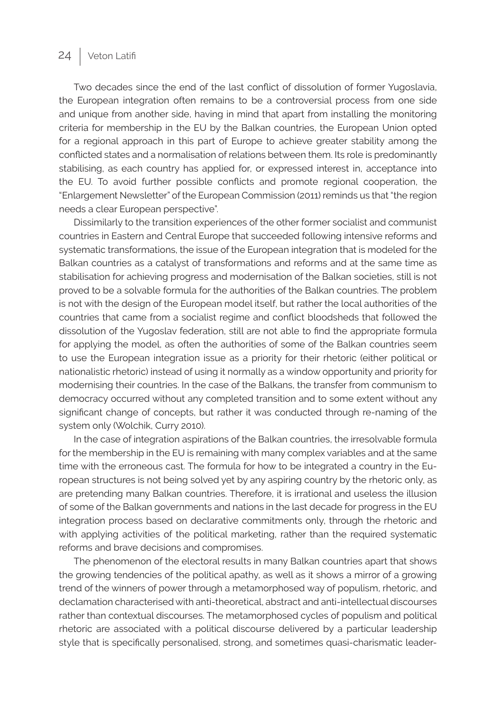# 24 | Veton Latifi

Two decades since the end of the last conflict of dissolution of former Yugoslavia, the European integration often remains to be a controversial process from one side and unique from another side, having in mind that apart from installing the monitoring criteria for membership in the EU by the Balkan countries, the European Union opted for a regional approach in this part of Europe to achieve greater stability among the conflicted states and a normalisation of relations between them. Its role is predominantly stabilising, as each country has applied for, or expressed interest in, acceptance into the EU. To avoid further possible conflicts and promote regional cooperation, the "Enlargement Newsletter" of the European Commission (2011) reminds us that "the region needs a clear European perspective".

Dissimilarly to the transition experiences of the other former socialist and communist countries in Eastern and Central Europe that succeeded following intensive reforms and systematic transformations, the issue of the European integration that is modeled for the Balkan countries as a catalyst of transformations and reforms and at the same time as stabilisation for achieving progress and modernisation of the Balkan societies, still is not proved to be a solvable formula for the authorities of the Balkan countries. The problem is not with the design of the European model itself, but rather the local authorities of the countries that came from a socialist regime and conflict bloodsheds that followed the dissolution of the Yugoslav federation, still are not able to find the appropriate formula for applying the model, as often the authorities of some of the Balkan countries seem to use the European integration issue as a priority for their rhetoric (either political or nationalistic rhetoric) instead of using it normally as a window opportunity and priority for modernising their countries. In the case of the Balkans, the transfer from communism to democracy occurred without any completed transition and to some extent without any significant change of concepts, but rather it was conducted through re-naming of the system only (Wolchik, Curry 2010).

In the case of integration aspirations of the Balkan countries, the irresolvable formula for the membership in the EU is remaining with many complex variables and at the same time with the erroneous cast. The formula for how to be integrated a country in the European structures is not being solved yet by any aspiring country by the rhetoric only, as are pretending many Balkan countries. Therefore, it is irrational and useless the illusion of some of the Balkan governments and nations in the last decade for progress in the EU integration process based on declarative commitments only, through the rhetoric and with applying activities of the political marketing, rather than the required systematic reforms and brave decisions and compromises.

The phenomenon of the electoral results in many Balkan countries apart that shows the growing tendencies of the political apathy, as well as it shows a mirror of a growing trend of the winners of power through a metamorphosed way of populism, rhetoric, and declamation characterised with anti-theoretical, abstract and anti-intellectual discourses rather than contextual discourses. The metamorphosed cycles of populism and political rhetoric are associated with a political discourse delivered by a particular leadership style that is specifically personalised, strong, and sometimes quasi-charismatic leader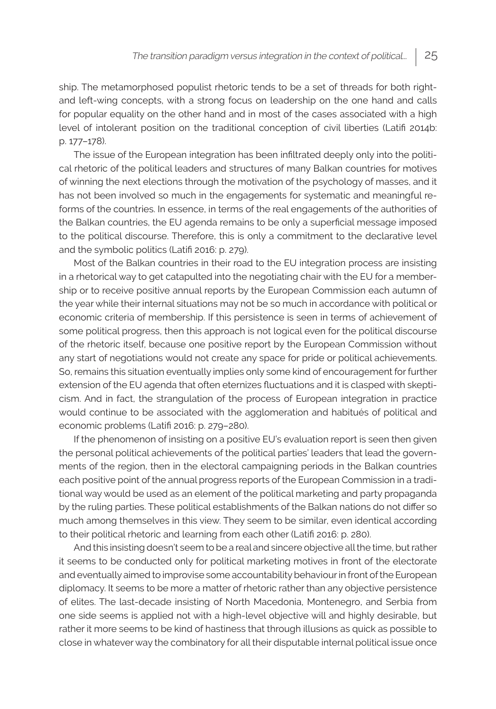ship. The metamorphosed populist rhetoric tends to be a set of threads for both rightand left-wing concepts, with a strong focus on leadership on the one hand and calls for popular equality on the other hand and in most of the cases associated with a high level of intolerant position on the traditional conception of civil liberties (Latifi 2014b: p. 177–178).

The issue of the European integration has been infiltrated deeply only into the political rhetoric of the political leaders and structures of many Balkan countries for motives of winning the next elections through the motivation of the psychology of masses, and it has not been involved so much in the engagements for systematic and meaningful reforms of the countries. In essence, in terms of the real engagements of the authorities of the Balkan countries, the EU agenda remains to be only a superficial message imposed to the political discourse. Therefore, this is only a commitment to the declarative level and the symbolic politics (Latifi 2016: p. 279).

Most of the Balkan countries in their road to the EU integration process are insisting in a rhetorical way to get catapulted into the negotiating chair with the EU for a membership or to receive positive annual reports by the European Commission each autumn of the year while their internal situations may not be so much in accordance with political or economic criteria of membership. If this persistence is seen in terms of achievement of some political progress, then this approach is not logical even for the political discourse of the rhetoric itself, because one positive report by the European Commission without any start of negotiations would not create any space for pride or political achievements. So, remains this situation eventually implies only some kind of encouragement for further extension of the EU agenda that often eternizes fluctuations and it is clasped with skepticism. And in fact, the strangulation of the process of European integration in practice would continue to be associated with the agglomeration and habitués of political and economic problems (Latifi 2016: p. 279–280).

If the phenomenon of insisting on a positive EU's evaluation report is seen then given the personal political achievements of the political parties' leaders that lead the governments of the region, then in the electoral campaigning periods in the Balkan countries each positive point of the annual progress reports of the European Commission in a traditional way would be used as an element of the political marketing and party propaganda by the ruling parties. These political establishments of the Balkan nations do not differ so much among themselves in this view. They seem to be similar, even identical according to their political rhetoric and learning from each other (Latifi 2016: p. 280).

And this insisting doesn't seem to be a real and sincere objective all the time, but rather it seems to be conducted only for political marketing motives in front of the electorate and eventually aimed to improvise some accountability behaviour in front of the European diplomacy. It seems to be more a matter of rhetoric rather than any objective persistence of elites. The last-decade insisting of North Macedonia, Montenegro, and Serbia from one side seems is applied not with a high-level objective will and highly desirable, but rather it more seems to be kind of hastiness that through illusions as quick as possible to close in whatever way the combinatory for all their disputable internal political issue once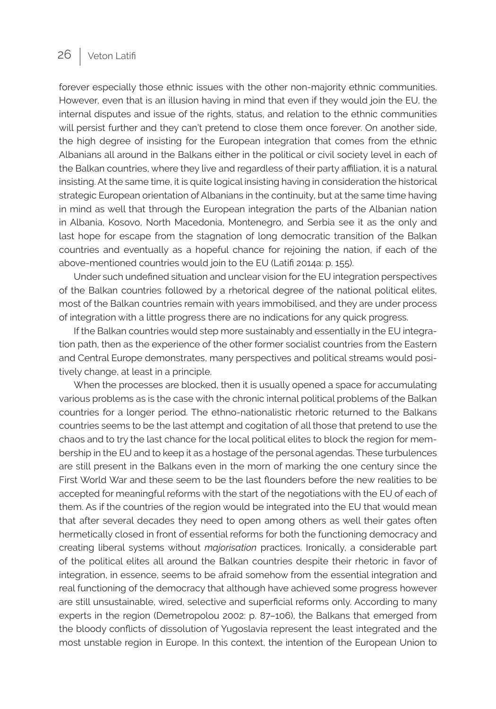### 26 | Veton Latifi

forever especially those ethnic issues with the other non-majority ethnic communities. However, even that is an illusion having in mind that even if they would join the EU, the internal disputes and issue of the rights, status, and relation to the ethnic communities will persist further and they can't pretend to close them once forever. On another side, the high degree of insisting for the European integration that comes from the ethnic Albanians all around in the Balkans either in the political or civil society level in each of the Balkan countries, where they live and regardless of their party affiliation, it is a natural insisting. At the same time, it is quite logical insisting having in consideration the historical strategic European orientation of Albanians in the continuity, but at the same time having in mind as well that through the European integration the parts of the Albanian nation in Albania, Kosovo, North Macedonia, Montenegro, and Serbia see it as the only and last hope for escape from the stagnation of long democratic transition of the Balkan countries and eventually as a hopeful chance for rejoining the nation, if each of the above-mentioned countries would join to the EU (Latifi 2014a: p. 155).

Under such undefined situation and unclear vision for the EU integration perspectives of the Balkan countries followed by a rhetorical degree of the national political elites, most of the Balkan countries remain with years immobilised, and they are under process of integration with a little progress there are no indications for any quick progress.

If the Balkan countries would step more sustainably and essentially in the EU integration path, then as the experience of the other former socialist countries from the Eastern and Central Europe demonstrates, many perspectives and political streams would positively change, at least in a principle.

When the processes are blocked, then it is usually opened a space for accumulating various problems as is the case with the chronic internal political problems of the Balkan countries for a longer period. The ethno-nationalistic rhetoric returned to the Balkans countries seems to be the last attempt and cogitation of all those that pretend to use the chaos and to try the last chance for the local political elites to block the region for membership in the EU and to keep it as a hostage of the personal agendas. These turbulences are still present in the Balkans even in the morn of marking the one century since the First World War and these seem to be the last flounders before the new realities to be accepted for meaningful reforms with the start of the negotiations with the EU of each of them. As if the countries of the region would be integrated into the EU that would mean that after several decades they need to open among others as well their gates often hermetically closed in front of essential reforms for both the functioning democracy and creating liberal systems without *majorisation* practices. Ironically, a considerable part of the political elites all around the Balkan countries despite their rhetoric in favor of integration, in essence, seems to be afraid somehow from the essential integration and real functioning of the democracy that although have achieved some progress however are still unsustainable, wired, selective and superficial reforms only. According to many experts in the region (Demetropolou 2002: p. 87–106), the Balkans that emerged from the bloody conflicts of dissolution of Yugoslavia represent the least integrated and the most unstable region in Europe. In this context, the intention of the European Union to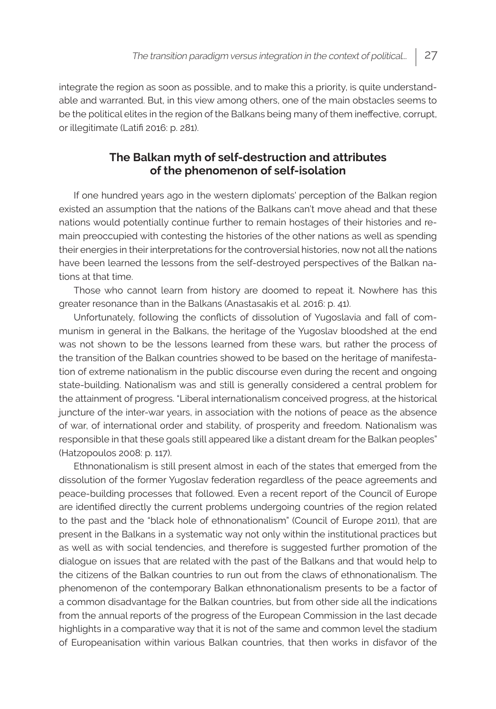integrate the region as soon as possible, and to make this a priority, is quite understandable and warranted. But, in this view among others, one of the main obstacles seems to be the political elites in the region of the Balkans being many of them ineffective, corrupt, or illegitimate (Latifi 2016: p. 281).

#### **The Balkan myth of self-destruction and attributes of the phenomenon of self-isolation**

If one hundred years ago in the western diplomats' perception of the Balkan region existed an assumption that the nations of the Balkans can't move ahead and that these nations would potentially continue further to remain hostages of their histories and remain preoccupied with contesting the histories of the other nations as well as spending their energies in their interpretations for the controversial histories, now not all the nations have been learned the lessons from the self-destroyed perspectives of the Balkan nations at that time.

Those who cannot learn from history are doomed to repeat it. Nowhere has this greater resonance than in the Balkans (Anastasakis et al. 2016: p. 41).

Unfortunately, following the conflicts of dissolution of Yugoslavia and fall of communism in general in the Balkans, the heritage of the Yugoslav bloodshed at the end was not shown to be the lessons learned from these wars, but rather the process of the transition of the Balkan countries showed to be based on the heritage of manifestation of extreme nationalism in the public discourse even during the recent and ongoing state-building. Nationalism was and still is generally considered a central problem for the attainment of progress. "Liberal internationalism conceived progress, at the historical juncture of the inter-war years, in association with the notions of peace as the absence of war, of international order and stability, of prosperity and freedom. Nationalism was responsible in that these goals still appeared like a distant dream for the Balkan peoples" (Hatzopoulos 2008: p. 117).

Ethnonationalism is still present almost in each of the states that emerged from the dissolution of the former Yugoslav federation regardless of the peace agreements and peace-building processes that followed. Even a recent report of the Council of Europe are identified directly the current problems undergoing countries of the region related to the past and the "black hole of ethnonationalism" (Council of Europe 2011), that are present in the Balkans in a systematic way not only within the institutional practices but as well as with social tendencies, and therefore is suggested further promotion of the dialogue on issues that are related with the past of the Balkans and that would help to the citizens of the Balkan countries to run out from the claws of ethnonationalism. The phenomenon of the contemporary Balkan ethnonationalism presents to be a factor of a common disadvantage for the Balkan countries, but from other side all the indications from the annual reports of the progress of the European Commission in the last decade highlights in a comparative way that it is not of the same and common level the stadium of Europeanisation within various Balkan countries, that then works in disfavor of the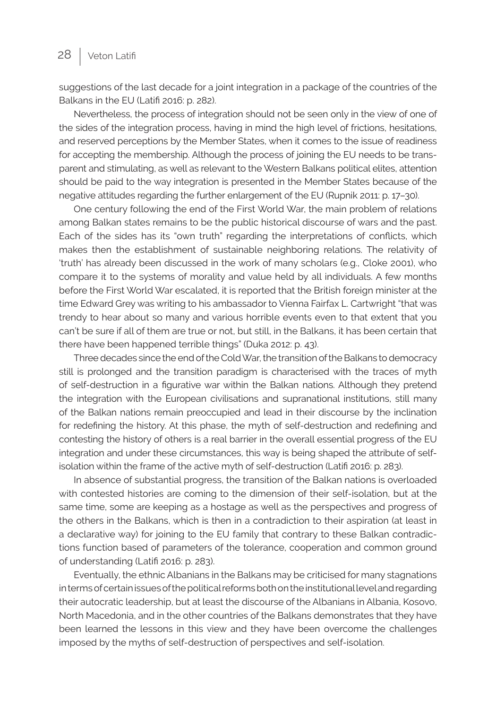suggestions of the last decade for a joint integration in a package of the countries of the Balkans in the EU (Latifi 2016: p. 282).

Nevertheless, the process of integration should not be seen only in the view of one of the sides of the integration process, having in mind the high level of frictions, hesitations, and reserved perceptions by the Member States, when it comes to the issue of readiness for accepting the membership. Although the process of joining the EU needs to be transparent and stimulating, as well as relevant to the Western Balkans political elites, attention should be paid to the way integration is presented in the Member States because of the negative attitudes regarding the further enlargement of the EU (Rupnik 2011: p. 17–30).

One century following the end of the First World War, the main problem of relations among Balkan states remains to be the public historical discourse of wars and the past. Each of the sides has its "own truth" regarding the interpretations of conflicts, which makes then the establishment of sustainable neighboring relations. The relativity of 'truth' has already been discussed in the work of many scholars (e.g., Cloke 2001), who compare it to the systems of morality and value held by all individuals. A few months before the First World War escalated, it is reported that the British foreign minister at the time Edward Grey was writing to his ambassador to Vienna Fairfax L. Cartwright "that was trendy to hear about so many and various horrible events even to that extent that you can't be sure if all of them are true or not, but still, in the Balkans, it has been certain that there have been happened terrible things" (Duka 2012: p. 43).

Three decades since the end of the Cold War, the transition of the Balkans to democracy still is prolonged and the transition paradigm is characterised with the traces of myth of self-destruction in a figurative war within the Balkan nations. Although they pretend the integration with the European civilisations and supranational institutions, still many of the Balkan nations remain preoccupied and lead in their discourse by the inclination for redefining the history. At this phase, the myth of self-destruction and redefining and contesting the history of others is a real barrier in the overall essential progress of the EU integration and under these circumstances, this way is being shaped the attribute of selfisolation within the frame of the active myth of self-destruction (Latifi 2016: p. 283).

In absence of substantial progress, the transition of the Balkan nations is overloaded with contested histories are coming to the dimension of their self-isolation, but at the same time, some are keeping as a hostage as well as the perspectives and progress of the others in the Balkans, which is then in a contradiction to their aspiration (at least in a declarative way) for joining to the EU family that contrary to these Balkan contradictions function based of parameters of the tolerance, cooperation and common ground of understanding (Latifi 2016: p. 283).

Eventually, the ethnic Albanians in the Balkans may be criticised for many stagnations in terms of certain issues of the political reforms both on the institutional level and regarding their autocratic leadership, but at least the discourse of the Albanians in Albania, Kosovo, North Macedonia, and in the other countries of the Balkans demonstrates that they have been learned the lessons in this view and they have been overcome the challenges imposed by the myths of self-destruction of perspectives and self-isolation.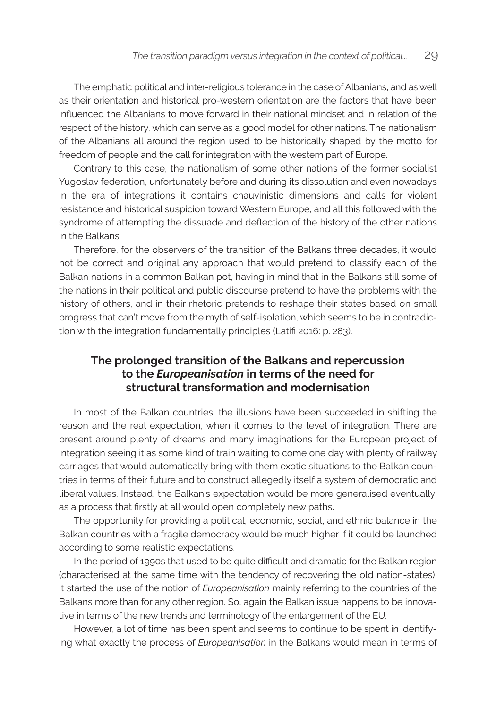The emphatic political and inter-religious tolerance in the case of Albanians, and as well as their orientation and historical pro-western orientation are the factors that have been influenced the Albanians to move forward in their national mindset and in relation of the respect of the history, which can serve as a good model for other nations. The nationalism of the Albanians all around the region used to be historically shaped by the motto for freedom of people and the call for integration with the western part of Europe.

Contrary to this case, the nationalism of some other nations of the former socialist Yugoslav federation, unfortunately before and during its dissolution and even nowadays in the era of integrations it contains chauvinistic dimensions and calls for violent resistance and historical suspicion toward Western Europe, and all this followed with the syndrome of attempting the dissuade and deflection of the history of the other nations in the Balkans.

Therefore, for the observers of the transition of the Balkans three decades, it would not be correct and original any approach that would pretend to classify each of the Balkan nations in a common Balkan pot, having in mind that in the Balkans still some of the nations in their political and public discourse pretend to have the problems with the history of others, and in their rhetoric pretends to reshape their states based on small progress that can't move from the myth of self-isolation, which seems to be in contradiction with the integration fundamentally principles (Latifi 2016: p. 283).

#### **The prolonged transition of the Balkans and repercussion to the** *Europeanisation* **in terms of the need for structural transformation and modernisation**

In most of the Balkan countries, the illusions have been succeeded in shifting the reason and the real expectation, when it comes to the level of integration. There are present around plenty of dreams and many imaginations for the European project of integration seeing it as some kind of train waiting to come one day with plenty of railway carriages that would automatically bring with them exotic situations to the Balkan countries in terms of their future and to construct allegedly itself a system of democratic and liberal values. Instead, the Balkan's expectation would be more generalised eventually, as a process that firstly at all would open completely new paths.

The opportunity for providing a political, economic, social, and ethnic balance in the Balkan countries with a fragile democracy would be much higher if it could be launched according to some realistic expectations.

In the period of 1990s that used to be quite difficult and dramatic for the Balkan region (characterised at the same time with the tendency of recovering the old nation-states), it started the use of the notion of *Europeanisation* mainly referring to the countries of the Balkans more than for any other region. So, again the Balkan issue happens to be innovative in terms of the new trends and terminology of the enlargement of the EU.

However, a lot of time has been spent and seems to continue to be spent in identifying what exactly the process of *Europeanisation* in the Balkans would mean in terms of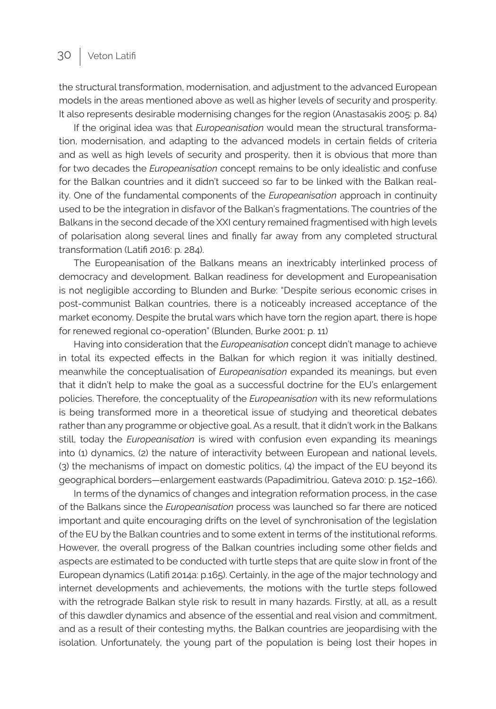the structural transformation, modernisation, and adjustment to the advanced European models in the areas mentioned above as well as higher levels of security and prosperity. It also represents desirable modernising changes for the region (Anastasakis 2005: p. 84)

If the original idea was that *Europeanisation* would mean the structural transformation, modernisation, and adapting to the advanced models in certain fields of criteria and as well as high levels of security and prosperity, then it is obvious that more than for two decades the *Europeanisation* concept remains to be only idealistic and confuse for the Balkan countries and it didn't succeed so far to be linked with the Balkan reality. One of the fundamental components of the *Europeanisation* approach in continuity used to be the integration in disfavor of the Balkan's fragmentations. The countries of the Balkans in the second decade of the XXI century remained fragmentised with high levels of polarisation along several lines and finally far away from any completed structural transformation (Latifi 2016: p. 284).

The Europeanisation of the Balkans means an inextricably interlinked process of democracy and development. Balkan readiness for development and Europeanisation is not negligible according to Blunden and Burke: "Despite serious economic crises in post-communist Balkan countries, there is a noticeably increased acceptance of the market economy. Despite the brutal wars which have torn the region apart, there is hope for renewed regional co-operation" (Blunden, Burke 2001: p. 11)

Having into consideration that the *Europeanisation* concept didn't manage to achieve in total its expected effects in the Balkan for which region it was initially destined, meanwhile the conceptualisation of *Europeanisation* expanded its meanings, but even that it didn't help to make the goal as a successful doctrine for the EU's enlargement policies. Therefore, the conceptuality of the *Europeanisation* with its new reformulations is being transformed more in a theoretical issue of studying and theoretical debates rather than any programme or objective goal. As a result, that it didn't work in the Balkans still, today the *Europeanisation* is wired with confusion even expanding its meanings into (1) dynamics, (2) the nature of interactivity between European and national levels, (3) the mechanisms of impact on domestic politics, (4) the impact of the EU beyond its geographical borders—enlargement eastwards (Papadimitriou, Gateva 2010: p. 152–166).

In terms of the dynamics of changes and integration reformation process, in the case of the Balkans since the *Europeanisation* process was launched so far there are noticed important and quite encouraging drifts on the level of synchronisation of the legislation of the EU by the Balkan countries and to some extent in terms of the institutional reforms. However, the overall progress of the Balkan countries including some other fields and aspects are estimated to be conducted with turtle steps that are quite slow in front of the European dynamics (Latifi 2014a: p.165). Certainly, in the age of the major technology and internet developments and achievements, the motions with the turtle steps followed with the retrograde Balkan style risk to result in many hazards. Firstly, at all, as a result of this dawdler dynamics and absence of the essential and real vision and commitment, and as a result of their contesting myths, the Balkan countries are jeopardising with the isolation. Unfortunately, the young part of the population is being lost their hopes in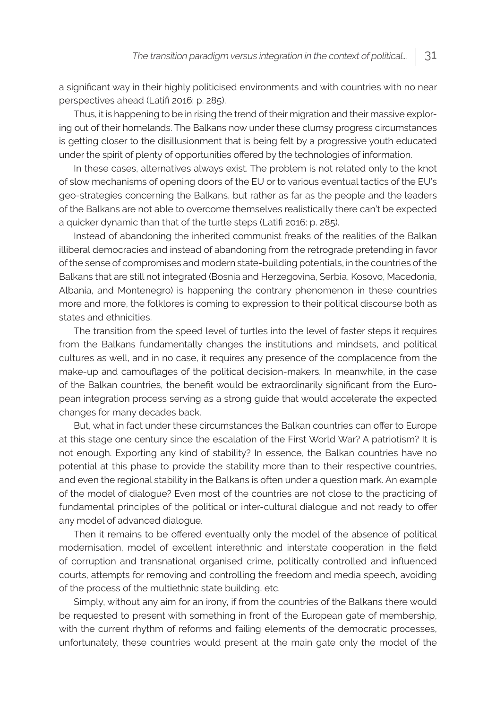a significant way in their highly politicised environments and with countries with no near perspectives ahead (Latifi 2016: p. 285).

Thus, it is happening to be in rising the trend of their migration and their massive exploring out of their homelands. The Balkans now under these clumsy progress circumstances is getting closer to the disillusionment that is being felt by a progressive youth educated under the spirit of plenty of opportunities offered by the technologies of information.

In these cases, alternatives always exist. The problem is not related only to the knot of slow mechanisms of opening doors of the EU or to various eventual tactics of the EU's geo-strategies concerning the Balkans, but rather as far as the people and the leaders of the Balkans are not able to overcome themselves realistically there can't be expected a quicker dynamic than that of the turtle steps (Latifi 2016: p. 285).

Instead of abandoning the inherited communist freaks of the realities of the Balkan illiberal democracies and instead of abandoning from the retrograde pretending in favor of the sense of compromises and modern state-building potentials, in the countries of the Balkans that are still not integrated (Bosnia and Herzegovina, Serbia, Kosovo, Macedonia, Albania, and Montenegro) is happening the contrary phenomenon in these countries more and more, the folklores is coming to expression to their political discourse both as states and ethnicities.

The transition from the speed level of turtles into the level of faster steps it requires from the Balkans fundamentally changes the institutions and mindsets, and political cultures as well, and in no case, it requires any presence of the complacence from the make-up and camouflages of the political decision-makers. In meanwhile, in the case of the Balkan countries, the benefit would be extraordinarily significant from the European integration process serving as a strong guide that would accelerate the expected changes for many decades back.

But, what in fact under these circumstances the Balkan countries can offer to Europe at this stage one century since the escalation of the First World War? A patriotism? It is not enough. Exporting any kind of stability? In essence, the Balkan countries have no potential at this phase to provide the stability more than to their respective countries, and even the regional stability in the Balkans is often under a question mark. An example of the model of dialogue? Even most of the countries are not close to the practicing of fundamental principles of the political or inter-cultural dialogue and not ready to offer any model of advanced dialogue.

Then it remains to be offered eventually only the model of the absence of political modernisation, model of excellent interethnic and interstate cooperation in the field of corruption and transnational organised crime, politically controlled and influenced courts, attempts for removing and controlling the freedom and media speech, avoiding of the process of the multiethnic state building, etc.

Simply, without any aim for an irony, if from the countries of the Balkans there would be requested to present with something in front of the European gate of membership, with the current rhythm of reforms and failing elements of the democratic processes, unfortunately, these countries would present at the main gate only the model of the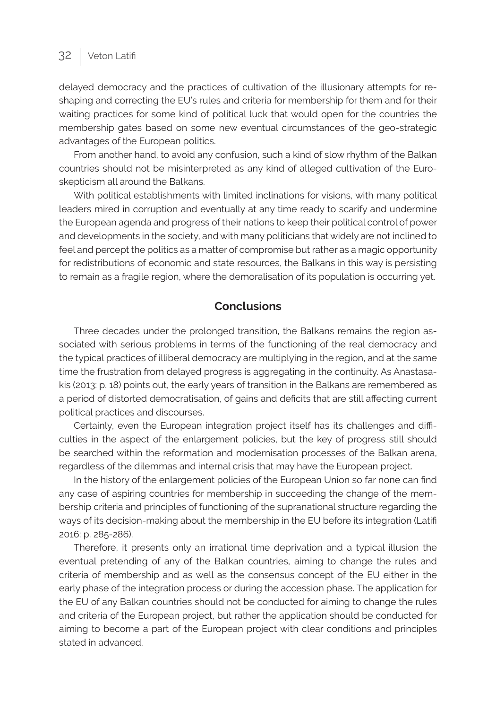## 32 Veton Latifi

delayed democracy and the practices of cultivation of the illusionary attempts for reshaping and correcting the EU's rules and criteria for membership for them and for their waiting practices for some kind of political luck that would open for the countries the membership gates based on some new eventual circumstances of the geo-strategic advantages of the European politics.

From another hand, to avoid any confusion, such a kind of slow rhythm of the Balkan countries should not be misinterpreted as any kind of alleged cultivation of the Euroskepticism all around the Balkans.

With political establishments with limited inclinations for visions, with many political leaders mired in corruption and eventually at any time ready to scarify and undermine the European agenda and progress of their nations to keep their political control of power and developments in the society, and with many politicians that widely are not inclined to feel and percept the politics as a matter of compromise but rather as a magic opportunity for redistributions of economic and state resources, the Balkans in this way is persisting to remain as a fragile region, where the demoralisation of its population is occurring yet.

#### **Conclusions**

Three decades under the prolonged transition, the Balkans remains the region associated with serious problems in terms of the functioning of the real democracy and the typical practices of illiberal democracy are multiplying in the region, and at the same time the frustration from delayed progress is aggregating in the continuity. As Anastasakis (2013: p. 18) points out, the early years of transition in the Balkans are remembered as a period of distorted democratisation, of gains and deficits that are still affecting current political practices and discourses.

Certainly, even the European integration project itself has its challenges and difficulties in the aspect of the enlargement policies, but the key of progress still should be searched within the reformation and modernisation processes of the Balkan arena, regardless of the dilemmas and internal crisis that may have the European project.

In the history of the enlargement policies of the European Union so far none can find any case of aspiring countries for membership in succeeding the change of the membership criteria and principles of functioning of the supranational structure regarding the ways of its decision-making about the membership in the EU before its integration (Latifi 2016: p. 285-286).

Therefore, it presents only an irrational time deprivation and a typical illusion the eventual pretending of any of the Balkan countries, aiming to change the rules and criteria of membership and as well as the consensus concept of the EU either in the early phase of the integration process or during the accession phase. The application for the EU of any Balkan countries should not be conducted for aiming to change the rules and criteria of the European project, but rather the application should be conducted for aiming to become a part of the European project with clear conditions and principles stated in advanced.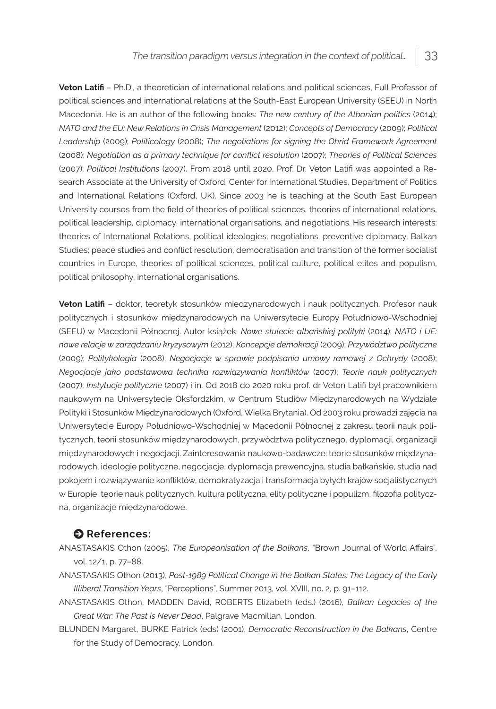**Veton Latifi** – Ph.D., a theoretician of international relations and political sciences, Full Professor of political sciences and international relations at the South-East European University (SEEU) in North Macedonia. He is an author of the following books: *The new century of the Albanian politics* (2014); *NATO and the EU: New Relations in Crisis Management* (2012); *Concepts of Democracy* (2009); *Political Leadership* (2009); *Politicology* (2008); *The negotiations for signing the Ohrid Framework Agreement* (2008); *Negotiation as a primary technique for conflict resolution* (2007); *Theories of Political Sciences* (2007); *Political Institutions* (2007). From 2018 until 2020, Prof. Dr. Veton Latifi was appointed a Research Associate at the University of Oxford, Center for International Studies, Department of Politics and International Relations (Oxford, UK). Since 2003 he is teaching at the South East European University courses from the field of theories of political sciences, theories of international relations, political leadership, diplomacy, international organisations, and negotiations. His research interests: theories of International Relations, political ideologies; negotiations, preventive diplomacy, Balkan Studies; peace studies and conflict resolution, democratisation and transition of the former socialist countries in Europe, theories of political sciences, political culture, political elites and populism, political philosophy, international organisations.

**Veton Latifi** – doktor, teoretyk stosunków międzynarodowych i nauk politycznych. Profesor nauk politycznych i stosunków międzynarodowych na Uniwersytecie Europy Południowo-Wschodniej (SEEU) w Macedonii Północnej. Autor książek: *Nowe stulecie albańskiej polityki* (2014); *NATO i UE: nowe relacje w zarządzaniu kryzysowym* (2012); *Koncepcje demokracji* (2009); *Przywództwo polityczne* (2009); *Politykologia* (2008); *Negocjacje w sprawie podpisania umowy ramowej z Ochrydy* (2008); *Negocjacje jako podstawowa technika rozwiązywania konfliktów* (2007); *Teorie nauk politycznych* (2007); *Instytucje polityczne* (2007) i in. Od 2018 do 2020 roku prof. dr Veton Latifi był pracownikiem naukowym na Uniwersytecie Oksfordzkim, w Centrum Studiów Międzynarodowych na Wydziale Polityki i Stosunków Międzynarodowych (Oxford, Wielka Brytania). Od 2003 roku prowadzi zajęcia na Uniwersytecie Europy Południowo-Wschodniej w Macedonii Północnej z zakresu teorii nauk politycznych, teorii stosunków międzynarodowych, przywództwa politycznego, dyplomacji, organizacji międzynarodowych i negocjacji. Zainteresowania naukowo-badawcze: teorie stosunków międzynarodowych, ideologie polityczne, negocjacje, dyplomacja prewencyjna, studia bałkańskie, studia nad pokojem i rozwiązywanie konfliktów, demokratyzacja i transformacja byłych krajów socjalistycznych w Europie, teorie nauk politycznych, kultura polityczna, elity polityczne i populizm, filozofia polityczna, organizacje międzynarodowe.

#### $\bullet$  References:

- ANASTASAKIS Othon (2005), *The Europeanisation of the Balkans*, "Brown Journal of World Affairs", vol. 12/1, p. 77–88.
- ANASTASAKIS Othon (2013), *Post-1989 Political Change in the Balkan States: The Legacy of the Early Illiberal Transition Years*, "Perceptions", Summer 2013, vol. XVIII, no. 2, p. 91–112.
- ANASTASAKIS Othon, MADDEN David, ROBERTS Elizabeth (eds.) (2016), *Balkan Legacies of the Great War: The Past is Never Dead*, Palgrave Macmillan, London.
- BLUNDEN Margaret, BURKE Patrick (eds) (2001), *Democratic Reconstruction in the Balkans*, Centre for the Study of Democracy, London.